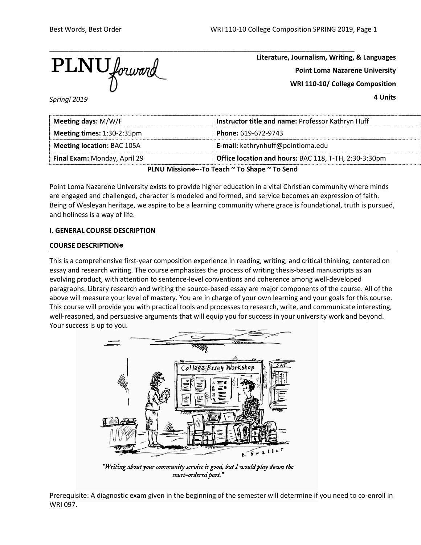

**Literature, Journalism, Writing, & Languages Point Loma Nazarene University WRI 110-10/ College Composition**

**4 Units**

*Springl 2019*

| Meeting days: M/W/F                                                                   | Instructor title and name: Professor Kathryn Huff |  |
|---------------------------------------------------------------------------------------|---------------------------------------------------|--|
| Meeting times: 1:30-2:35pm                                                            | Phone: 619-672-9743                               |  |
| <b>Meeting location: BAC 105A</b>                                                     | <b>E-mail:</b> kathrynhuff@pointloma.edu          |  |
| Office location and hours: BAC 118, T-TH, 2:30-3:30pm<br>Final Exam: Monday, April 29 |                                                   |  |
| $D[All]$ $M!$                                                                         |                                                   |  |

**PLNU Mission**⍟**---To Teach ~ To Shape ~ To Send**

Point Loma Nazarene University exists to provide higher education in a vital Christian community where minds are engaged and challenged, character is modeled and formed, and service becomes an expression of faith. Being of Wesleyan heritage, we aspire to be a learning community where grace is foundational, truth is pursued, and holiness is a way of life.

# **I. GENERAL COURSE DESCRIPTION**

# **COURSE DESCRIPTION**⍟

This is a comprehensive first-year composition experience in reading, writing, and critical thinking, centered on essay and research writing. The course emphasizes the process of writing thesis-based manuscripts as an evolving product, with attention to sentence-level conventions and coherence among well-developed paragraphs. Library research and writing the source-based essay are major components of the course. All of the above will measure your level of mastery. You are in charge of your own learning and your goals for this course. This course will provide you with practical tools and processes to research, write, and communicate interesting, well-reasoned, and persuasive arguments that will equip you for success in your university work and beyond. Your success is up to you.



"Writing about your community service is good, but I would play down the court-ordered part."

Prerequisite: A diagnostic exam given in the beginning of the semester will determine if you need to co-enroll in WRI 097.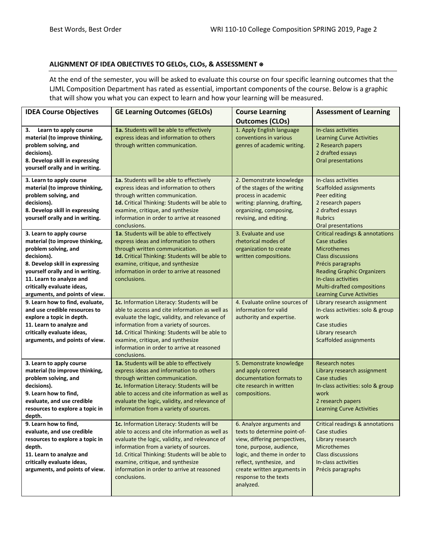# **ALIGNMENT OF IDEA OBJECTIVES TO GELOs, CLOs, & ASSESSMENT** ⍟

At the end of the semester, you will be asked to evaluate this course on four specific learning outcomes that the LJML Composition Department has rated as essential, important components of the course. Below is a graphic that will show you what you can expect to learn and how your learning will be measured.

| <b>IDEA Course Objectives</b>                                                                                                                                                                                                                                      | <b>GE Learning Outcomes (GELOs)</b>                                                                                                                                                                                                                                                                                                            | <b>Course Learning</b><br><b>Outcomes (CLOs)</b>                                                                                                                                                                                                       | <b>Assessment of Learning</b>                                                                                                                                                                                                                            |
|--------------------------------------------------------------------------------------------------------------------------------------------------------------------------------------------------------------------------------------------------------------------|------------------------------------------------------------------------------------------------------------------------------------------------------------------------------------------------------------------------------------------------------------------------------------------------------------------------------------------------|--------------------------------------------------------------------------------------------------------------------------------------------------------------------------------------------------------------------------------------------------------|----------------------------------------------------------------------------------------------------------------------------------------------------------------------------------------------------------------------------------------------------------|
| Learn to apply course<br>З.<br>material (to improve thinking,<br>problem solving, and<br>decisions).<br>8. Develop skill in expressing<br>yourself orally and in writing.                                                                                          | 1a. Students will be able to effectively<br>express ideas and information to others<br>through written communication.                                                                                                                                                                                                                          | 1. Apply English language<br>conventions in various<br>genres of academic writing.                                                                                                                                                                     | In-class activities<br><b>Learning Curve Activities</b><br>2 Research papers<br>2 drafted essays<br>Oral presentations                                                                                                                                   |
| 3. Learn to apply course<br>material (to improve thinking,<br>problem solving, and<br>decisions).<br>8. Develop skill in expressing<br>yourself orally and in writing.                                                                                             | 1a. Students will be able to effectively<br>express ideas and information to others<br>through written communication.<br>1d. Critical Thinking: Students will be able to<br>examine, critique, and synthesize<br>information in order to arrive at reasoned<br>conclusions.                                                                    | 2. Demonstrate knowledge<br>of the stages of the writing<br>process in academic<br>writing: planning, drafting,<br>organizing, composing,<br>revising, and editing.                                                                                    | In-class activities<br>Scaffolded assignments<br>Peer editing<br>2 research papers<br>2 drafted essays<br><b>Rubrics</b><br>Oral presentations                                                                                                           |
| 3. Learn to apply course<br>material (to improve thinking,<br>problem solving, and<br>decisions).<br>8. Develop skill in expressing<br>yourself orally and in writing.<br>11. Learn to analyze and<br>critically evaluate ideas,<br>arguments, and points of view. | 1a. Students will be able to effectively<br>express ideas and information to others<br>through written communication.<br>1d. Critical Thinking: Students will be able to<br>examine, critique, and synthesize<br>information in order to arrive at reasoned<br>conclusions.                                                                    | 3. Evaluate and use<br>rhetorical modes of<br>organization to create<br>written compositions.                                                                                                                                                          | <b>Critical readings &amp; annotations</b><br>Case studies<br>Microthemes<br><b>Class discussions</b><br>Précis paragraphs<br><b>Reading Graphic Organizers</b><br>In-class activities<br>Multi-drafted compositions<br><b>Learning Curve Activities</b> |
| 9. Learn how to find, evaluate,<br>and use credible resources to<br>explore a topic in depth.<br>11. Learn to analyze and<br>critically evaluate ideas,<br>arguments, and points of view.                                                                          | 1c. Information Literacy: Students will be<br>able to access and cite information as well as<br>evaluate the logic, validity, and relevance of<br>information from a variety of sources.<br>1d. Critical Thinking: Students will be able to<br>examine, critique, and synthesize<br>information in order to arrive at reasoned<br>conclusions. | 4. Evaluate online sources of<br>information for valid<br>authority and expertise.                                                                                                                                                                     | Library research assignment<br>In-class activities: solo & group<br>work<br>Case studies<br>Library research<br><b>Scaffolded assignments</b>                                                                                                            |
| 3. Learn to apply course<br>material (to improve thinking,<br>problem solving, and<br>decisions).<br>9. Learn how to find,<br>evaluate, and use credible<br>resources to explore a topic in<br>depth.                                                              | 1a. Students will be able to effectively<br>express ideas and information to others<br>through written communication.<br>1c. Information Literacy: Students will be<br>able to access and cite information as well as<br>evaluate the logic, validity, and relevance of<br>information from a variety of sources.                              | 5. Demonstrate knowledge<br>and apply correct<br>documentation formats to<br>cite research in written<br>compositions.                                                                                                                                 | <b>Research notes</b><br>Library research assignment<br>Case studies<br>In-class activities: solo & group<br>work<br>2 research papers<br><b>Learning Curve Activities</b>                                                                               |
| 9. Learn how to find,<br>evaluate, and use credible<br>resources to explore a topic in<br>depth.<br>11. Learn to analyze and<br>critically evaluate ideas,<br>arguments, and points of view.                                                                       | 1c. Information Literacy: Students will be<br>able to access and cite information as well as<br>evaluate the logic, validity, and relevance of<br>information from a variety of sources.<br>1d. Critical Thinking: Students will be able to<br>examine, critique, and synthesize<br>information in order to arrive at reasoned<br>conclusions. | 6. Analyze arguments and<br>texts to determine point-of-<br>view, differing perspectives,<br>tone, purpose, audience,<br>logic, and theme in order to<br>reflect, synthesize, and<br>create written arguments in<br>response to the texts<br>analyzed. | Critical readings & annotations<br>Case studies<br>Library research<br><b>Microthemes</b><br><b>Class discussions</b><br>In-class activities<br>Précis paragraphs                                                                                        |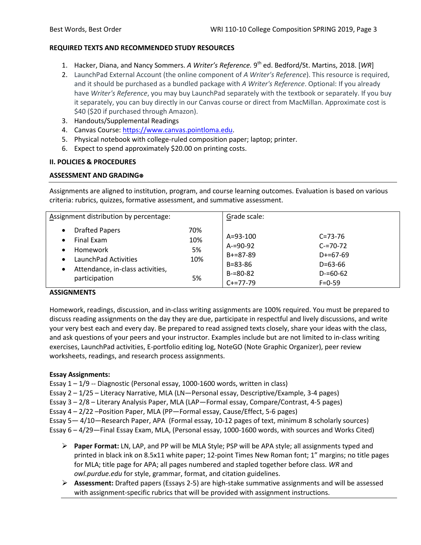# **REQUIRED TEXTS AND RECOMMENDED STUDY RESOURCES**

- 1. Hacker, Diana, and Nancy Sommers. *A Writer's Reference.* 9th ed. Bedford/St. Martins, 2018. [*WR*]
- 2. LaunchPad External Account (the online component of *A Writer's Reference*). This resource is required, and it should be purchased as a bundled package with *A Writer's Reference*. Optional: If you already have *Writer's Reference*, you may buy LaunchPad separately with the textbook or separately. If you buy it separately, you can buy directly in our Canvas course or direct from MacMillan. Approximate cost is \$40 (\$20 if purchased through Amazon).
- 3. Handouts/Supplemental Readings
- 4. Canvas Course: [https://www.canvas.pointloma.edu.](https://www.canvas.pointloma.edu/)
- 5. Physical notebook with college-ruled composition paper; laptop; printer.
- 6. Expect to spend approximately \$20.00 on printing costs.

# **II. POLICIES & PROCEDURES**

# **ASSESSMENT AND GRADING**⍟

Assignments are aligned to institution, program, and course learning outcomes. Evaluation is based on various criteria: rubrics, quizzes, formative assessment, and summative assessment.

| Assignment distribution by percentage:                                                                                                                                                |                               | Grade scale:                                                                                  |                                                                                                |
|---------------------------------------------------------------------------------------------------------------------------------------------------------------------------------------|-------------------------------|-----------------------------------------------------------------------------------------------|------------------------------------------------------------------------------------------------|
| <b>Drafted Papers</b><br>$\bullet$<br>Final Exam<br>$\bullet$<br>Homework<br>$\bullet$<br>LaunchPad Activities<br>$\bullet$<br>Attendance, in-class activities,<br>٠<br>participation | 70%<br>10%<br>5%<br>10%<br>5% | $A = 93 - 100$<br>$A = 90 - 92$<br>$B+=87-89$<br>$B = 83 - 86$<br>$B = 80 - 82$<br>$C+=77-79$ | $C = 73 - 76$<br>$C = 70 - 72$<br>$D+=67-69$<br>$D = 63 - 66$<br>$D = 60 - 62$<br>$F = 0 - 59$ |

# **ASSIGNMENTS**

Homework, readings, discussion, and in-class writing assignments are 100% required. You must be prepared to discuss reading assignments on the day they are due, participate in respectful and lively discussions, and write your very best each and every day. Be prepared to read assigned texts closely, share your ideas with the class, and ask questions of your peers and your instructor. Examples include but are not limited to in-class writing exercises, LaunchPad activities, E-portfolio editing log, NoteGO (Note Graphic Organizer), peer review worksheets, readings, and research process assignments.

# **Essay Assignments:**

Essay 1 – 1/9 -- Diagnostic (Personal essay, 1000-1600 words, written in class)

Essay 2 – 1/25 – Literacy Narrative, MLA (LN—Personal essay, Descriptive/Example, 3-4 pages)

Essay 3 – 2/8 – Literary Analysis Paper, MLA (LAP—Formal essay, Compare/Contrast, 4-5 pages)

Essay 4 – 2/22 –Position Paper, MLA (PP—Formal essay, Cause/Effect, 5-6 pages)

Essay 5— 4/10—Research Paper, APA (Formal essay, 10-12 pages of text, minimum 8 scholarly sources)

Essay 6 – 4/29—Final Essay Exam, MLA, (Personal essay, 1000-1600 words, with sources and Works Cited)

- **Paper Format:** LN, LAP, and PP will be MLA Style; PSP will be APA style; all assignments typed and printed in black ink on 8.5x11 white paper; 12-point Times New Roman font; 1" margins; no title pages for MLA; title page for APA; all pages numbered and stapled together before class. *WR* and *owl.purdue.edu* for style, grammar, format, and citation guidelines.
- **Assessment:** Drafted papers (Essays 2-5) are high-stake summative assignments and will be assessed with assignment-specific rubrics that will be provided with assignment instructions.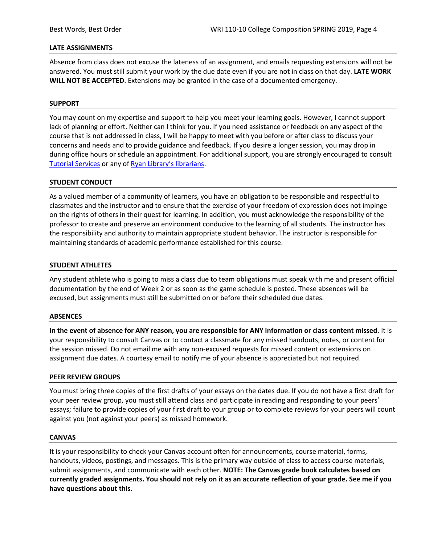### **LATE ASSIGNMENTS**

Absence from class does not excuse the lateness of an assignment, and emails requesting extensions will not be answered. You must still submit your work by the due date even if you are not in class on that day. **LATE WORK WILL NOT BE ACCEPTED**. Extensions may be granted in the case of a documented emergency.

### **SUPPORT**

You may count on my expertise and support to help you meet your learning goals. However, I cannot support lack of planning or effort. Neither can I think for you. If you need assistance or feedback on any aspect of the course that is not addressed in class, I will be happy to meet with you before or after class to discuss your concerns and needs and to provide guidance and feedback. If you desire a longer session, you may drop in during office hours or schedule an appointment. For additional support, you are strongly encouraged to consult [Tutorial Services](http://www.pointloma.edu/experience/offices/student-services/tutorial-services/services) or any of [Ryan Library's librarians.](http://www.pointloma.edu/ryanlibrary)

### **STUDENT CONDUCT**

As a valued member of a community of learners, you have an obligation to be responsible and respectful to classmates and the instructor and to ensure that the exercise of your freedom of expression does not impinge on the rights of others in their quest for learning. In addition, you must acknowledge the responsibility of the professor to create and preserve an environment conducive to the learning of all students. The instructor has the responsibility and authority to maintain appropriate student behavior. The instructor is responsible for maintaining standards of academic performance established for this course.

#### **STUDENT ATHLETES**

Any student athlete who is going to miss a class due to team obligations must speak with me and present official documentation by the end of Week 2 or as soon as the game schedule is posted. These absences will be excused, but assignments must still be submitted on or before their scheduled due dates.

#### **ABSENCES**

**In the event of absence for ANY reason, you are responsible for ANY information or class content missed.** It is your responsibility to consult Canvas or to contact a classmate for any missed handouts, notes, or content for the session missed. Do not email me with any non-excused requests for missed content or extensions on assignment due dates. A courtesy email to notify me of your absence is appreciated but not required.

#### **PEER REVIEW GROUPS**

You must bring three copies of the first drafts of your essays on the dates due. If you do not have a first draft for your peer review group, you must still attend class and participate in reading and responding to your peers' essays; failure to provide copies of your first draft to your group or to complete reviews for your peers will count against you (not against your peers) as missed homework.

#### **CANVAS**

It is your responsibility to check your Canvas account often for announcements, course material, forms, handouts, videos, postings, and messages. This is the primary way outside of class to access course materials, submit assignments, and communicate with each other. **NOTE: The Canvas grade book calculates based on currently graded assignments. You should not rely on it as an accurate reflection of your grade. See me if you have questions about this.**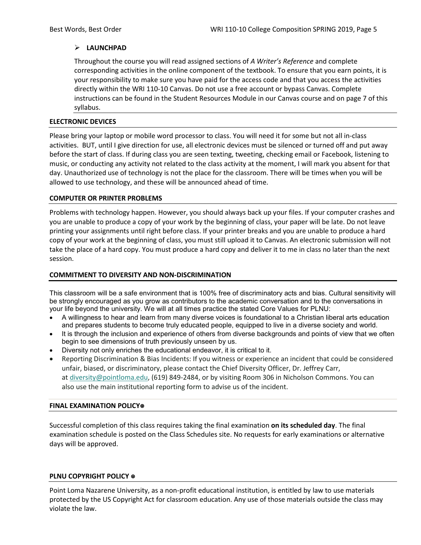# **LAUNCHPAD**

Throughout the course you will read assigned sections of *A Writer's Reference* and complete corresponding activities in the online component of the textbook. To ensure that you earn points, it is your responsibility to make sure you have paid for the access code and that you access the activities directly within the WRI 110-10 Canvas. Do not use a free account or bypass Canvas. Complete instructions can be found in the Student Resources Module in our Canvas course and on page 7 of this syllabus.

### **ELECTRONIC DEVICES**

Please bring your laptop or mobile word processor to class. You will need it for some but not all in-class activities. BUT, until I give direction for use, all electronic devices must be silenced or turned off and put away before the start of class. If during class you are seen texting, tweeting, checking email or Facebook, listening to music, or conducting any activity not related to the class activity at the moment, I will mark you absent for that day. Unauthorized use of technology is not the place for the classroom. There will be times when you will be allowed to use technology, and these will be announced ahead of time.

# **COMPUTER OR PRINTER PROBLEMS**

Problems with technology happen. However, you should always back up your files. If your computer crashes and you are unable to produce a copy of your work by the beginning of class, your paper will be late. Do not leave printing your assignments until right before class. If your printer breaks and you are unable to produce a hard copy of your work at the beginning of class, you must still upload it to Canvas. An electronic submission will not take the place of a hard copy. You must produce a hard copy and deliver it to me in class no later than the next session.

# **COMMITMENT TO DIVERSITY AND NON-DISCRIMINATION**

This classroom will be a safe environment that is 100% free of discriminatory acts and bias. Cultural sensitivity will be strongly encouraged as you grow as contributors to the academic conversation and to the conversations in your life beyond the university. We will at all times practice the stated Core Values for PLNU:

- A willingness to hear and learn from many diverse voices is foundational to a Christian liberal arts education and prepares students to become truly educated people, equipped to live in a diverse society and world.
- It is through the inclusion and experience of others from diverse backgrounds and points of view that we often begin to see dimensions of truth previously unseen by us.
- Diversity not only enriches the educational endeavor, it is critical to it.
- Reporting Discrimination & Bias Incidents: If you witness or experience an incident that could be considered unfair, biased, or discriminatory, please contact the Chief Diversity Officer, Dr. Jeffrey Carr, at [diversity@pointloma.edu,](mailto:diversity@pointloma.edu) (619) 849-2484, or by visiting Room 306 in Nicholson Commons. You can also use the main institutional reporting form to advise us of the incident.

#### **FINAL EXAMINATION POLICY**⍟

Successful completion of this class requires taking the final examination **on its scheduled day**. The final examination schedule is posted on the Class Schedules site. No requests for early examinations or alternative days will be approved.

#### **PLNU COPYRIGHT POLICY** ⍟

Point Loma Nazarene University, as a non-profit educational institution, is entitled by law to use materials protected by the US Copyright Act for classroom education. Any use of those materials outside the class may violate the law.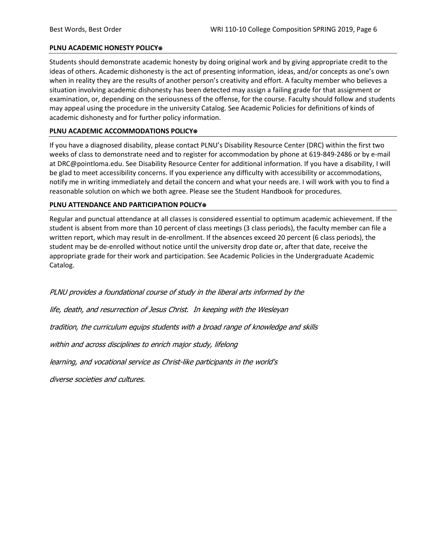### **PLNU ACADEMIC HONESTY POLICY**⍟

Students should demonstrate academic honesty by doing original work and by giving appropriate credit to the ideas of others. Academic dishonesty is the act of presenting information, ideas, and/or concepts as one's own when in reality they are the results of another person's creativity and effort. A faculty member who believes a situation involving academic dishonesty has been detected may assign a failing grade for that assignment or examination, or, depending on the seriousness of the offense, for the course. Faculty should follow and students may appeal using the procedure in the university Catalog. See Academic Policies for definitions of kinds of academic dishonesty and for further policy information.

### **PLNU ACADEMIC ACCOMMODATIONS POLICY**⍟

If you have a diagnosed disability, please contact PLNU's Disability Resource Center (DRC) within the first two weeks of class to demonstrate need and to register for accommodation by phone at 619-849-2486 or by e-mail at DRC@pointloma.edu. See Disability Resource Center for additional information. If you have a disability, I will be glad to meet accessibility concerns. If you experience any difficulty with accessibility or accommodations, notify me in writing immediately and detail the concern and what your needs are. I will work with you to find a reasonable solution on which we both agree. Please see the Student Handbook for procedures.

### **PLNU ATTENDANCE AND PARTICIPATION POLICY**⍟

Regular and punctual attendance at all classes is considered essential to optimum academic achievement. If the student is absent from more than 10 percent of class meetings (3 class periods), the faculty member can file a written report, which may result in de-enrollment. If the absences exceed 20 percent (6 class periods), the student may be de-enrolled without notice until the university drop date or, after that date, receive the appropriate grade for their work and participation. See Academic Policies in the Undergraduate Academic Catalog.

PLNU provides a foundational course of study in the liberal arts informed by the

life, death, and resurrection of Jesus Christ. In keeping with the Wesleyan

tradition, the curriculum equips students with a broad range of knowledge and skills

within and across disciplines to enrich major study, lifelong

learning, and vocational service as Christ-like participants in the world's

diverse societies and cultures.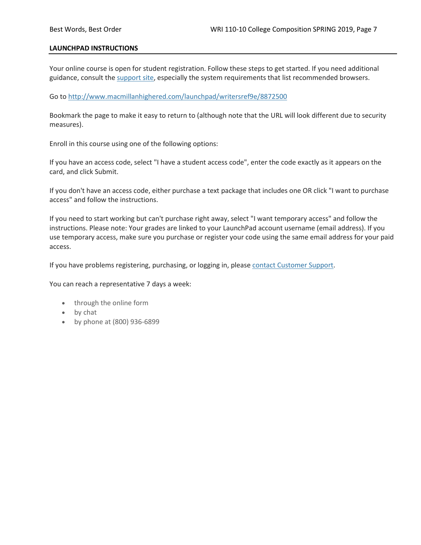### **LAUNCHPAD INSTRUCTIONS**

Your online course is open for student registration. Follow these steps to get started. If you need additional guidance, consult the [support site,](https://community.macmillan.com/community/digital-product-support) especially the system requirements that list recommended browsers.

### Go to <http://www.macmillanhighered.com/launchpad/writersref9e/8872500>

Bookmark the page to make it easy to return to (although note that the URL will look different due to security measures).

Enroll in this course using one of the following options:

If you have an access code, select "I have a student access code", enter the code exactly as it appears on the card, and click Submit.

If you don't have an access code, either purchase a text package that includes one OR click "I want to purchase access" and follow the instructions.

If you need to start working but can't purchase right away, select "I want temporary access" and follow the instructions. Please note: Your grades are linked to your LaunchPad account username (email address). If you use temporary access, make sure you purchase or register your code using the same email address for your paid access.

If you have problems registering, purchasing, or logging in, please [contact Customer Support.](https://community.macmillan.com/community/digital-product-support)

You can reach a representative 7 days a week:

- through the online form
- by chat
- by phone at (800) 936-6899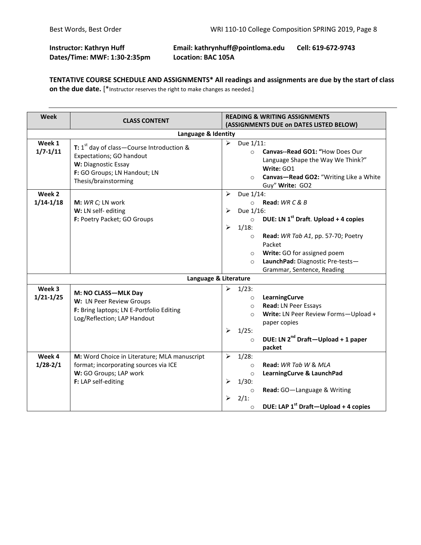# **Instructor: Kathryn Huff Email: kathrynhuff@pointloma.edu Cell: 619-672-9743 Dates/Time: MWF: 1:30-2:35pm Location: BAC 105A**

**TENTATIVE COURSE SCHEDULE AND ASSIGNMENTS\* All readings and assignments are due by the start of class on the due date.** [\*Instructor reserves the right to make changes as needed.]

| Week                    | <b>CLASS CONTENT</b>                                                                                                                                                      | <b>READING &amp; WRITING ASSIGNMENTS</b><br>(ASSIGNMENTS DUE on DATES LISTED BELOW)                                                                                                                                                                                                                                         |  |
|-------------------------|---------------------------------------------------------------------------------------------------------------------------------------------------------------------------|-----------------------------------------------------------------------------------------------------------------------------------------------------------------------------------------------------------------------------------------------------------------------------------------------------------------------------|--|
|                         | Language & Identity                                                                                                                                                       |                                                                                                                                                                                                                                                                                                                             |  |
| Week 1<br>$1/7 - 1/11$  | <b>T:</b> $1^{st}$ day of class – Course Introduction &<br><b>Expectations; GO handout</b><br>W: Diagnostic Essay<br>F: GO Groups; LN Handout; LN<br>Thesis/brainstorming | Due 1/11:<br>➤<br>Canvas--Read GO1: "How Does Our<br>$\circ$<br>Language Shape the Way We Think?"<br>Write: GO1<br>Canvas-Read GO2: "Writing Like a White<br>$\circ$<br>Guy" Write: GO2                                                                                                                                     |  |
| Week 2<br>$1/14 - 1/18$ | M: WR C; LN work<br>W: LN self-editing<br>F: Poetry Packet; GO Groups                                                                                                     | Due 1/14:<br>⋗<br>Read: $WR C & B$<br>$\circ$<br>Due 1/16:<br>⋗<br>DUE: LN $1^{st}$ Draft. Upload + 4 copies<br>$\circ$<br>$1/18$ :<br>➤<br>Read: WR Tab A1, pp. 57-70; Poetry<br>$\circ$<br>Packet<br>Write: GO for assigned poem<br>$\circ$<br>LaunchPad: Diagnostic Pre-tests-<br>$\Omega$<br>Grammar, Sentence, Reading |  |
|                         | Language & Literature                                                                                                                                                     |                                                                                                                                                                                                                                                                                                                             |  |
| Week 3<br>$1/21 - 1/25$ | M: NO CLASS-MLK Day<br>W: LN Peer Review Groups<br>F: Bring laptops; LN E-Portfolio Editing<br>Log/Reflection; LAP Handout                                                | ⋗<br>$1/23$ :<br>LearningCurve<br>$\circ$<br>Read: LN Peer Essays<br>$\circ$<br>Write: LN Peer Review Forms-Upload +<br>$\Omega$<br>paper copies<br>$1/25$ :<br>➤<br>DUE: LN 2 <sup>nd</sup> Draft-Upload + 1 paper<br>$\circ$<br>packet                                                                                    |  |
| Week 4<br>$1/28 - 2/1$  | M: Word Choice in Literature; MLA manuscript<br>format; incorporating sources via ICE<br>W: GO Groups; LAP work<br>F: LAP self-editing                                    | $1/28$ :<br>➤<br>Read: WR Tab W & MLA<br>$\Omega$<br>LearningCurve & LaunchPad<br>$\circ$<br>$1/30$ :<br>⋗<br>Read: GO-Language & Writing<br>$\circ$<br>2/1:<br>⋗<br>DUE: LAP 1 <sup>st</sup> Draft-Upload + 4 copies<br>$\circ$                                                                                            |  |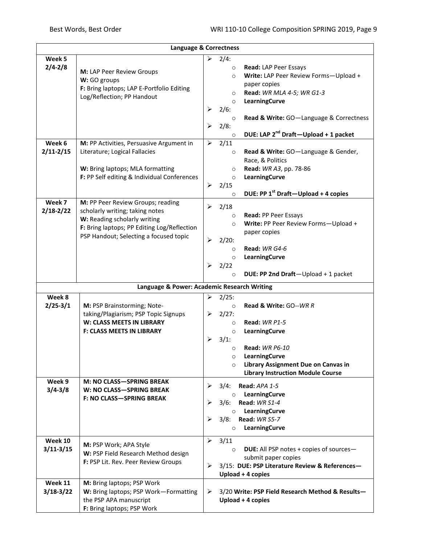| Language & Correctness |                                                           |                       |                                                             |
|------------------------|-----------------------------------------------------------|-----------------------|-------------------------------------------------------------|
| Week 5                 |                                                           |                       | $\geq$ 2/4:                                                 |
| $2/4 - 2/8$            |                                                           |                       | Read: LAP Peer Essays<br>$\circ$                            |
|                        | M: LAP Peer Review Groups                                 |                       | Write: LAP Peer Review Forms-Upload +<br>$\circ$            |
|                        | W: GO groups<br>F: Bring laptops; LAP E-Portfolio Editing |                       | paper copies                                                |
|                        | Log/Reflection; PP Handout                                |                       | Read: WR MLA 4-5; WR G1-3<br>$\circ$                        |
|                        |                                                           |                       | LearningCurve<br>$\circ$                                    |
|                        |                                                           | ➤                     | 2/6:                                                        |
|                        |                                                           |                       | Read & Write: GO-Language & Correctness<br>$\circ$          |
|                        |                                                           | ➤                     | 2/8:                                                        |
|                        |                                                           |                       | DUE: LAP 2 <sup>nd</sup> Draft-Upload + 1 packet<br>$\circ$ |
| Week 6                 | M: PP Activities, Persuasive Argument in                  | ➤                     | 2/11                                                        |
| $2/11 - 2/15$          | Literature; Logical Fallacies                             |                       | Read & Write: GO-Language & Gender,<br>$\circ$              |
|                        |                                                           |                       | Race, & Politics                                            |
|                        | W: Bring laptops; MLA formatting                          |                       | Read: WR A3, pp. 78-86<br>$\circ$                           |
|                        | F: PP Self editing & Individual Conferences               |                       | LearningCurve<br>$\circ$                                    |
|                        |                                                           | $\blacktriangleright$ | 2/15                                                        |
|                        |                                                           |                       | DUE: PP 1st Draft-Upload + 4 copies<br>$\circ$              |
| Week 7                 | M: PP Peer Review Groups; reading                         | ➤                     | 2/18                                                        |
| $2/18 - 2/22$          | scholarly writing; taking notes                           |                       | Read: PP Peer Essays<br>$\circ$                             |
|                        | W: Reading scholarly writing                              |                       | Write: PP Peer Review Forms-Upload +<br>$\circ$             |
|                        | F: Bring laptops; PP Editing Log/Reflection               |                       | paper copies                                                |
|                        | PSP Handout; Selecting a focused topic                    | $\blacktriangleright$ | $2/20$ :                                                    |
|                        |                                                           |                       | Read: WR G4-6<br>$\circ$                                    |
|                        |                                                           |                       | LearningCurve<br>$\circ$                                    |
|                        |                                                           | ➤                     | 2/22                                                        |
|                        |                                                           |                       | DUE: PP 2nd Draft-Upload + 1 packet<br>$\circ$              |
|                        | Language & Power: Academic Research Writing               |                       |                                                             |
| Week 8                 |                                                           | ≻                     | 2/25:                                                       |
| $2/25 - 3/1$           | M: PSP Brainstorming; Note-                               |                       | <b>Read &amp; Write: GO--WR R</b><br>$\circ$                |
|                        | taking/Plagiarism; PSP Topic Signups                      |                       | $\geq$ 2/27:                                                |
|                        | W: CLASS MEETS IN LIBRARY                                 |                       | Read: WR P1-5<br>$\circ$                                    |
|                        | <b>F: CLASS MEETS IN LIBRARY</b>                          |                       | LearningCurve<br>$\circ$                                    |
|                        |                                                           | ➤                     | 3/1:                                                        |
|                        |                                                           |                       | <b>Read: WR P6-10</b><br>$\circ$                            |
|                        |                                                           |                       | LearningCurve<br>$\circ$                                    |
|                        |                                                           |                       | Library Assignment Due on Canvas in<br>$\circ$              |
|                        |                                                           |                       | <b>Library Instruction Module Course</b>                    |
| Week 9                 | <b>M: NO CLASS-SPRING BREAK</b>                           |                       |                                                             |
| $3/4 - 3/8$            | W: NO CLASS-SPRING BREAK                                  | ➤                     | 3/4:<br>Read: APA 1-5                                       |
|                        | <b>F: NO CLASS-SPRING BREAK</b>                           | ➤                     | LearningCurve<br>$\circ$<br>3/6:<br>Read: WR S1-4           |
|                        |                                                           |                       | LearningCurve<br>$\circ$                                    |
|                        |                                                           | ⋗                     | 3/8:<br>Read: WR S5-7                                       |
|                        |                                                           |                       | LearningCurve<br>$\circ$                                    |
|                        |                                                           |                       |                                                             |
| Week 10                | M: PSP Work; APA Style                                    | ➤                     | 3/11                                                        |
| $3/11 - 3/15$          | W: PSP Field Research Method design                       |                       | <b>DUE:</b> All PSP notes + copies of sources-<br>$\circ$   |
|                        | F: PSP Lit. Rev. Peer Review Groups                       |                       | submit paper copies                                         |
|                        |                                                           | ➤                     | 3/15: DUE: PSP Literature Review & References-              |
|                        |                                                           |                       | Upload + 4 copies                                           |
| Week 11                | M: Bring laptops; PSP Work                                |                       |                                                             |
| $3/18-3/22$            | W: Bring laptops; PSP Work-Formatting                     | ➤                     | 3/20 Write: PSP Field Research Method & Results-            |
|                        | the PSP APA manuscript                                    |                       | Upload + 4 copies                                           |
|                        | F: Bring laptops; PSP Work                                |                       |                                                             |